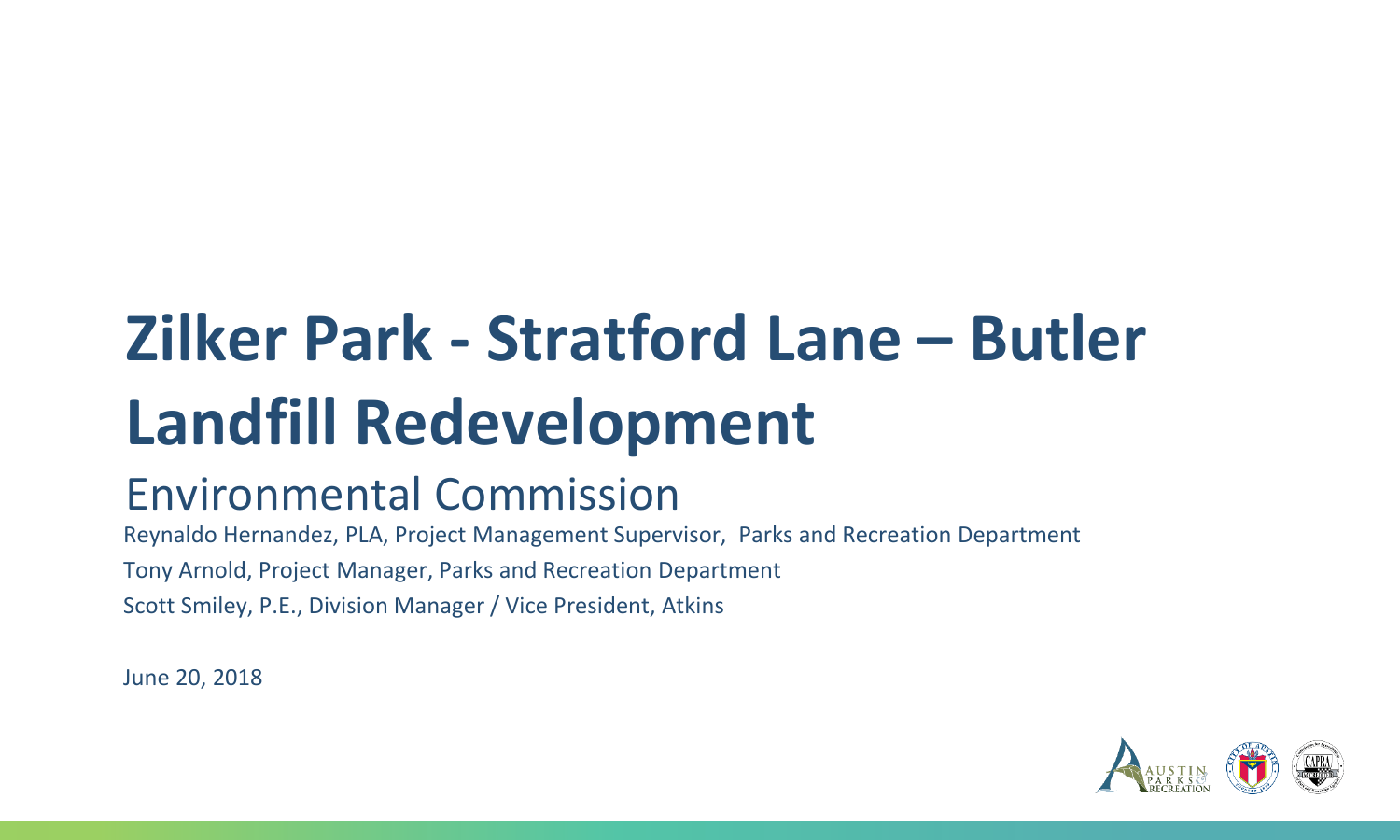# **Zilker Park - Stratford Lane – Butler Landfill Redevelopment**

#### Environmental Commission

Reynaldo Hernandez, PLA, Project Management Supervisor, Parks and Recreation Department Tony Arnold, Project Manager, Parks and Recreation Department Scott Smiley, P.E., Division Manager / Vice President, Atkins

June 20, 2018

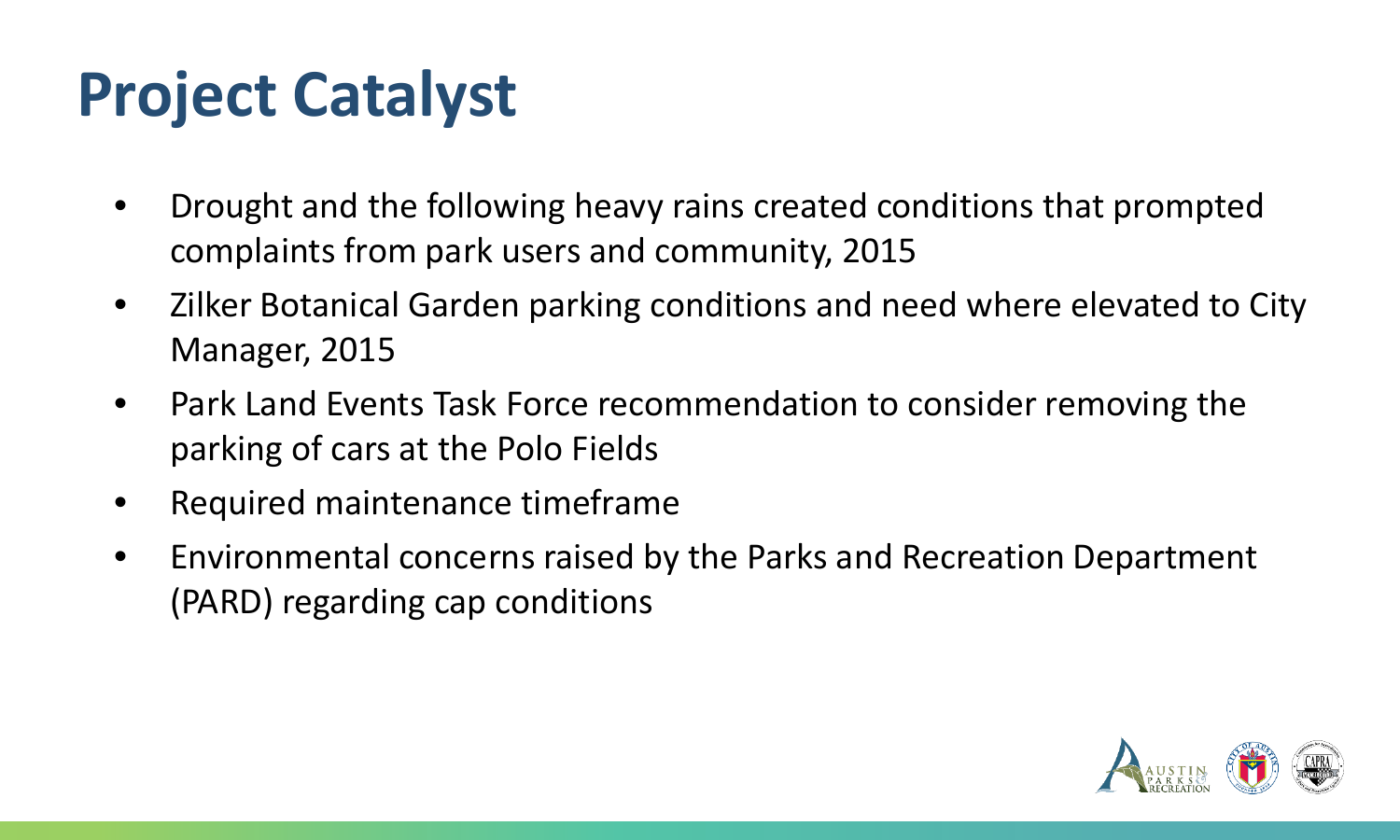# **Project Catalyst**

- Drought and the following heavy rains created conditions that prompted complaints from park users and community, 2015
- Zilker Botanical Garden parking conditions and need where elevated to City Manager, 2015
- Park Land Events Task Force recommendation to consider removing the parking of cars at the Polo Fields
- Required maintenance timeframe
- Environmental concerns raised by the Parks and Recreation Department (PARD) regarding cap conditions

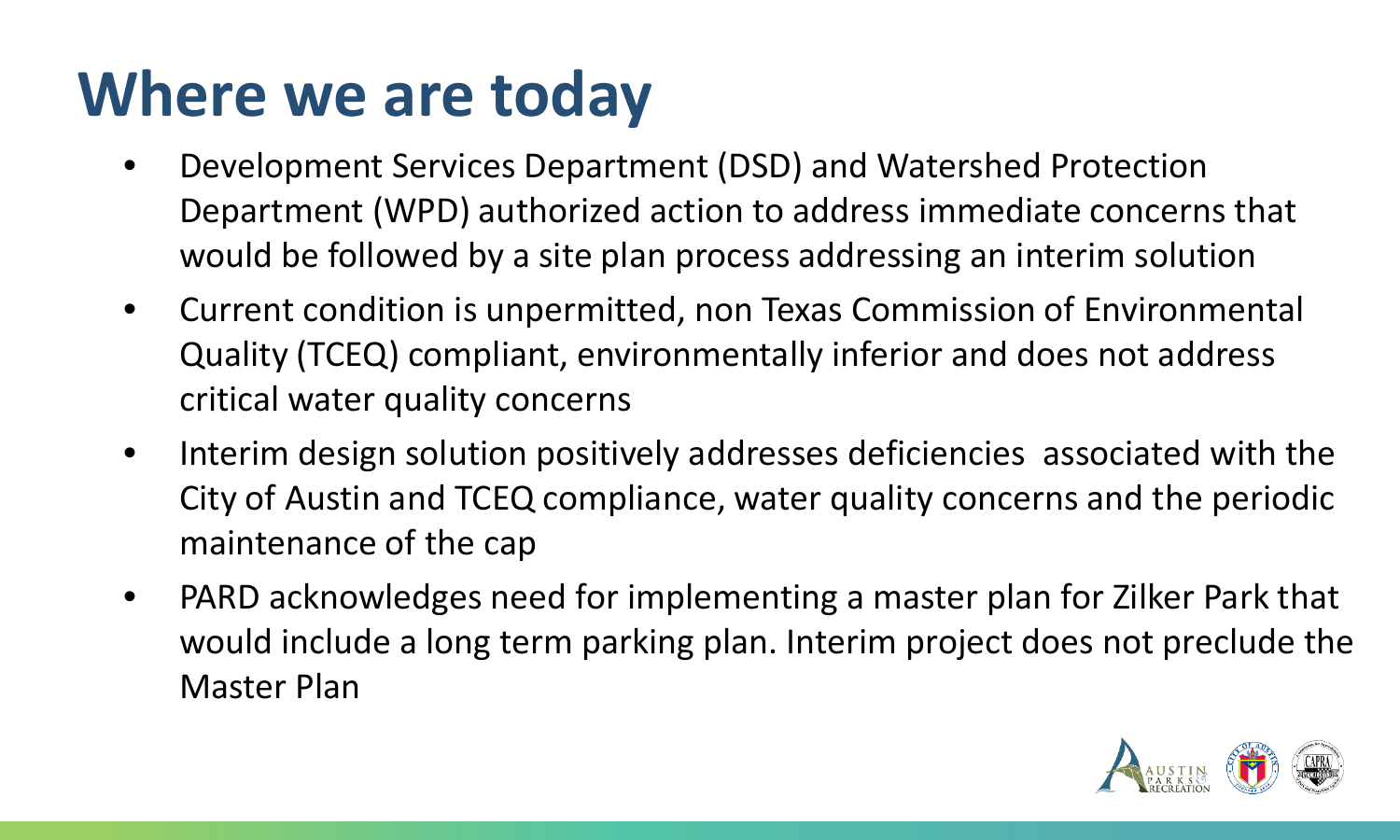## **Where we are today**

- Development Services Department (DSD) and Watershed Protection Department (WPD) authorized action to address immediate concerns that would be followed by a site plan process addressing an interim solution
- Current condition is unpermitted, non Texas Commission of Environmental Quality (TCEQ) compliant, environmentally inferior and does not address critical water quality concerns
- Interim design solution positively addresses deficiencies associated with the City of Austin and TCEQ compliance, water quality concerns and the periodic maintenance of the cap
- PARD acknowledges need for implementing a master plan for Zilker Park that would include a long term parking plan. Interim project does not preclude the Master Plan

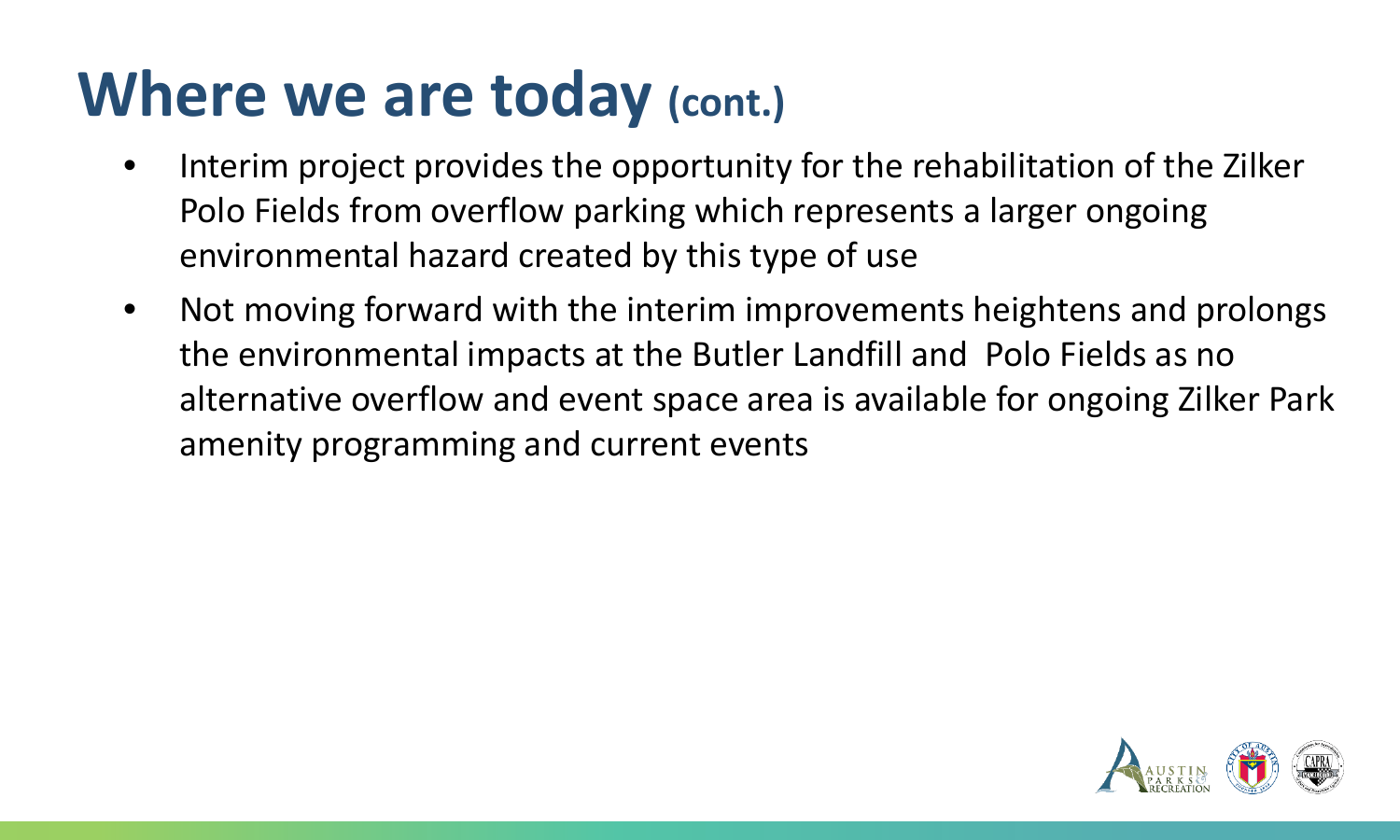#### **Where we are today (cont.)**

- Interim project provides the opportunity for the rehabilitation of the Zilker Polo Fields from overflow parking which represents a larger ongoing environmental hazard created by this type of use
- Not moving forward with the interim improvements heightens and prolongs the environmental impacts at the Butler Landfill and Polo Fields as no alternative overflow and event space area is available for ongoing Zilker Park amenity programming and current events

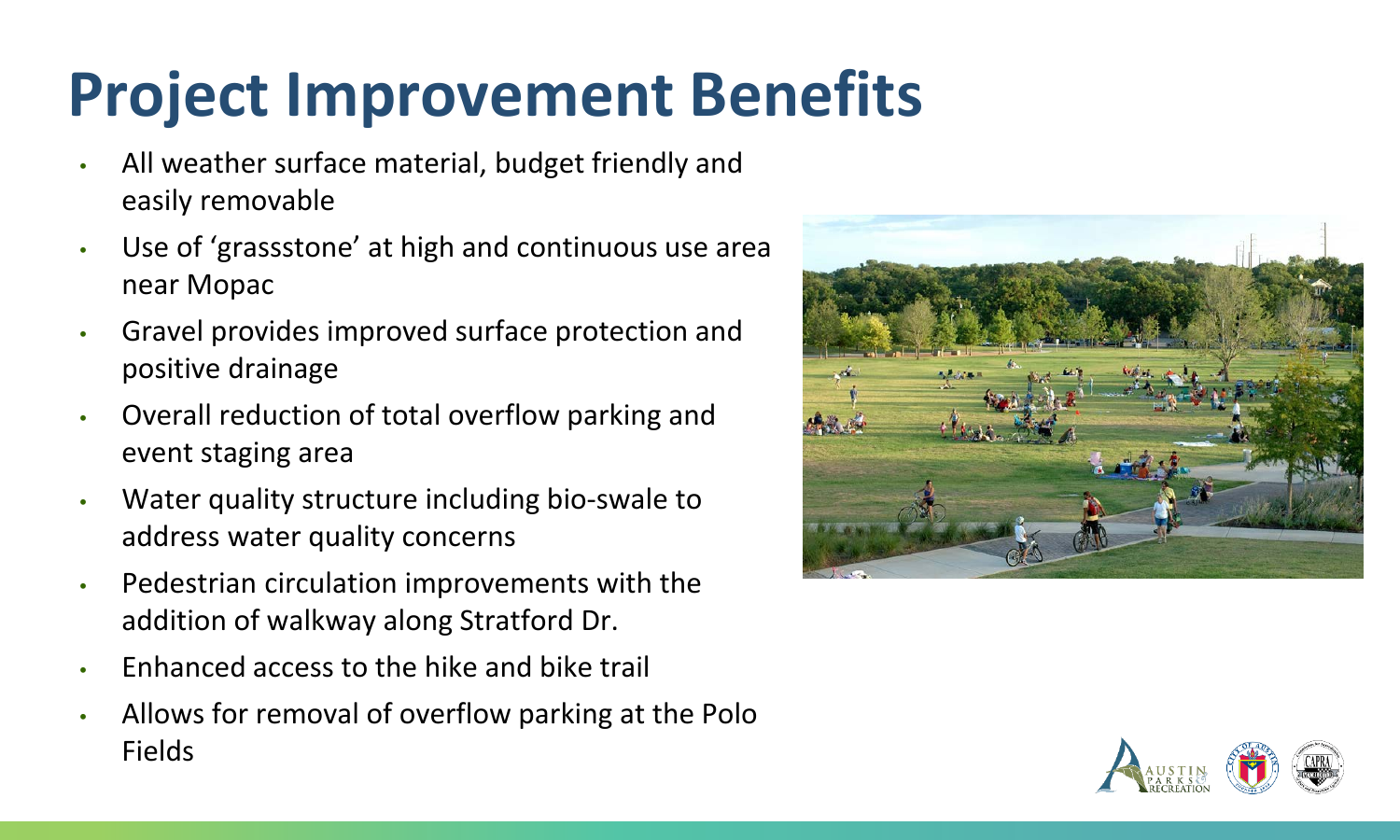# **Project Improvement Benefits**

- All weather surface material, budget friendly and easily removable
- Use of 'grassstone' at high and continuous use area near Mopac
- Gravel provides improved surface protection and positive drainage
- Overall reduction of total overflow parking and event staging area
- Water quality structure including bio-swale to address water quality concerns
- Pedestrian circulation improvements with the addition of walkway along Stratford Dr.
- Enhanced access to the hike and bike trail
- Allows for removal of overflow parking at the Polo Fields



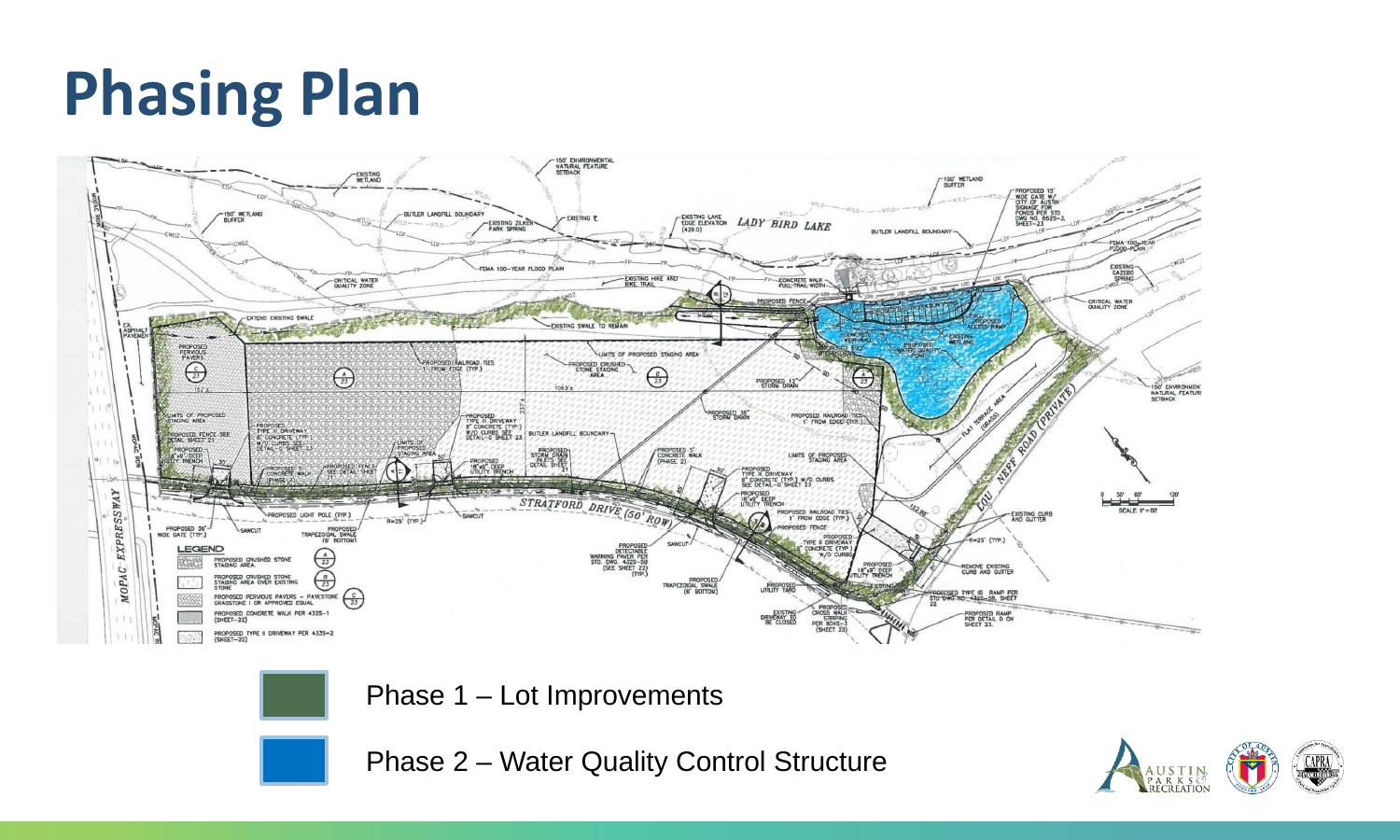# **Phasing Plan**







Phase 2 – Water Quality Control Structure

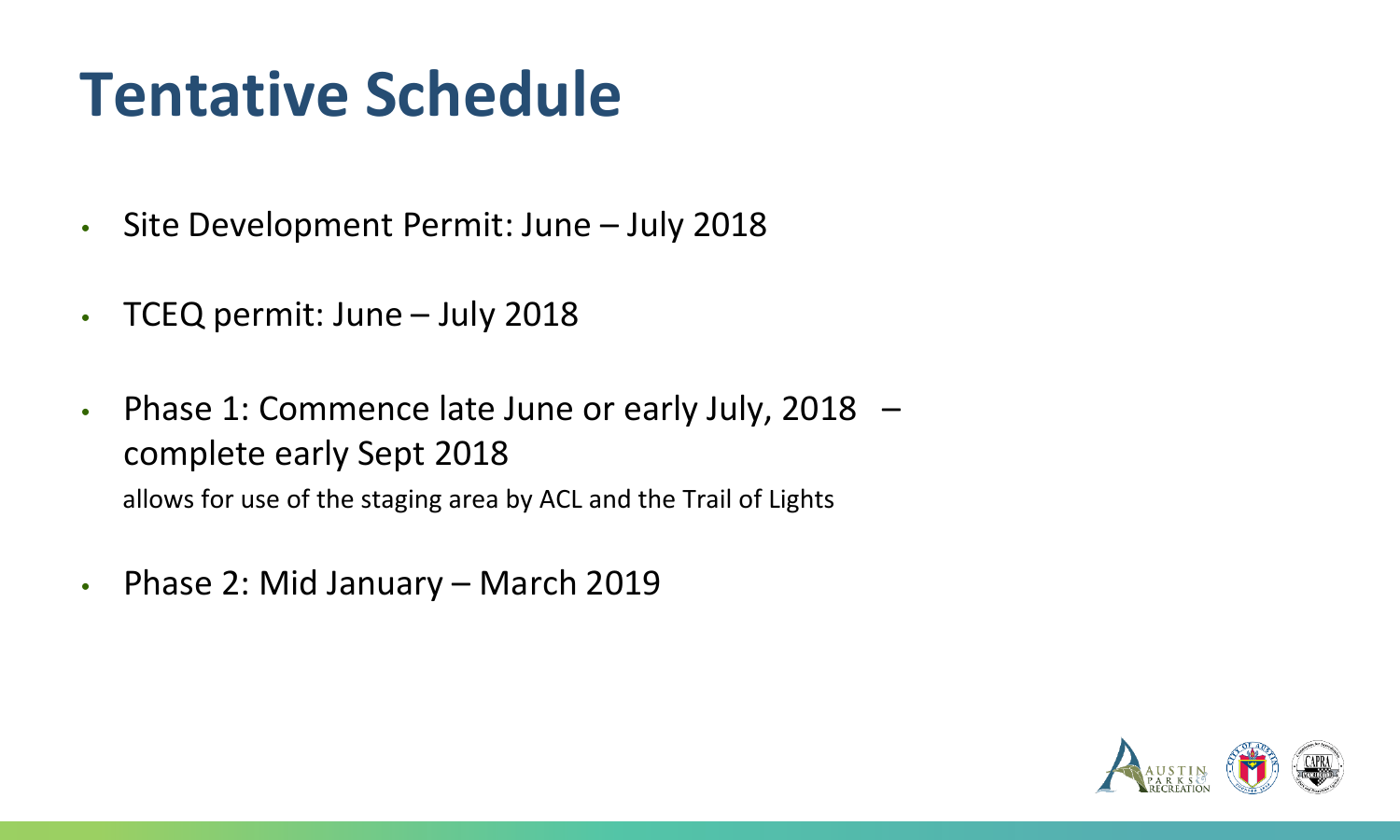## **Tentative Schedule**

- Site Development Permit: June July 2018
- TCEQ permit: June July 2018
- Phase 1: Commence late June or early July, 2018 complete early Sept 2018 allows for use of the staging area by ACL and the Trail of Lights
- Phase 2: Mid January March 2019

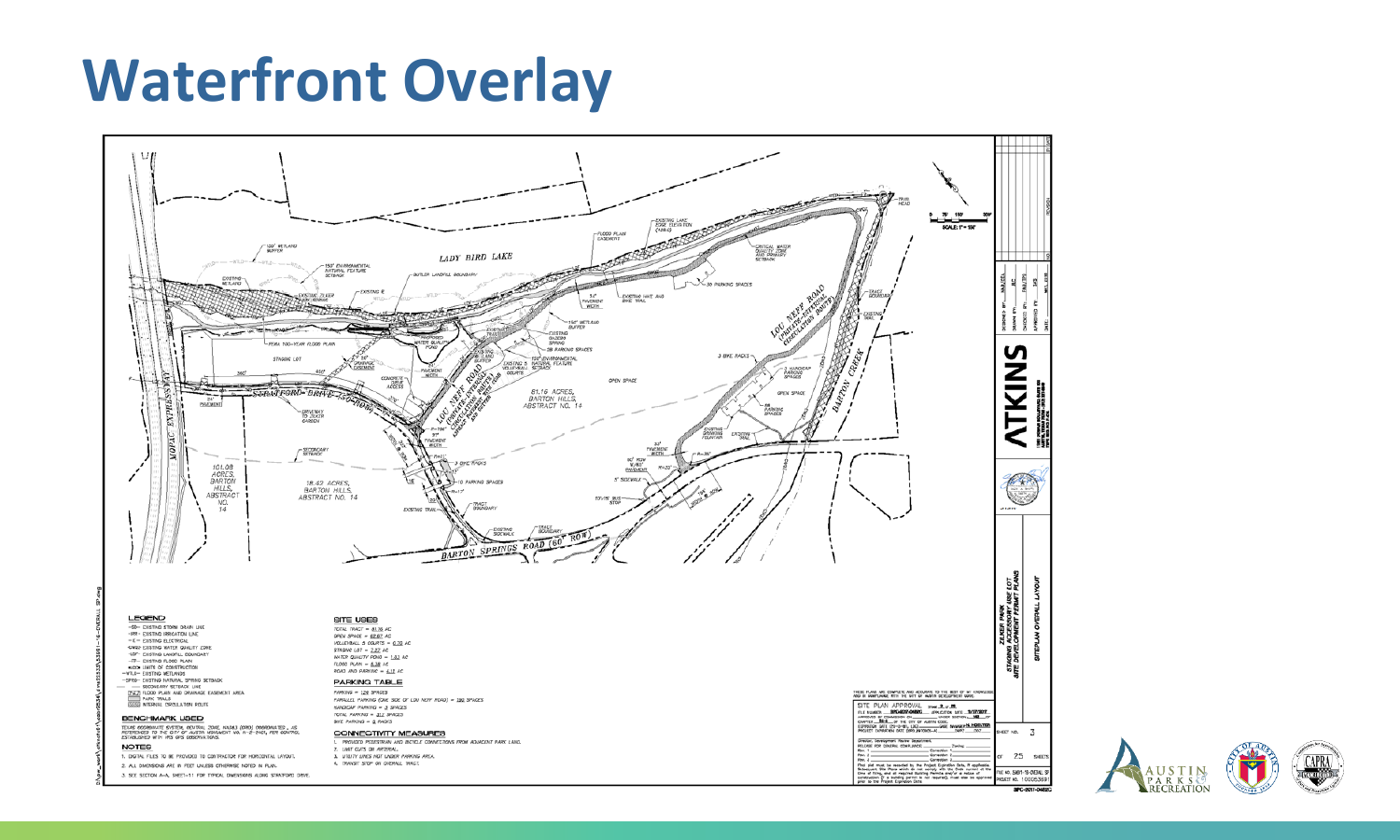#### **Waterfront Overlay**



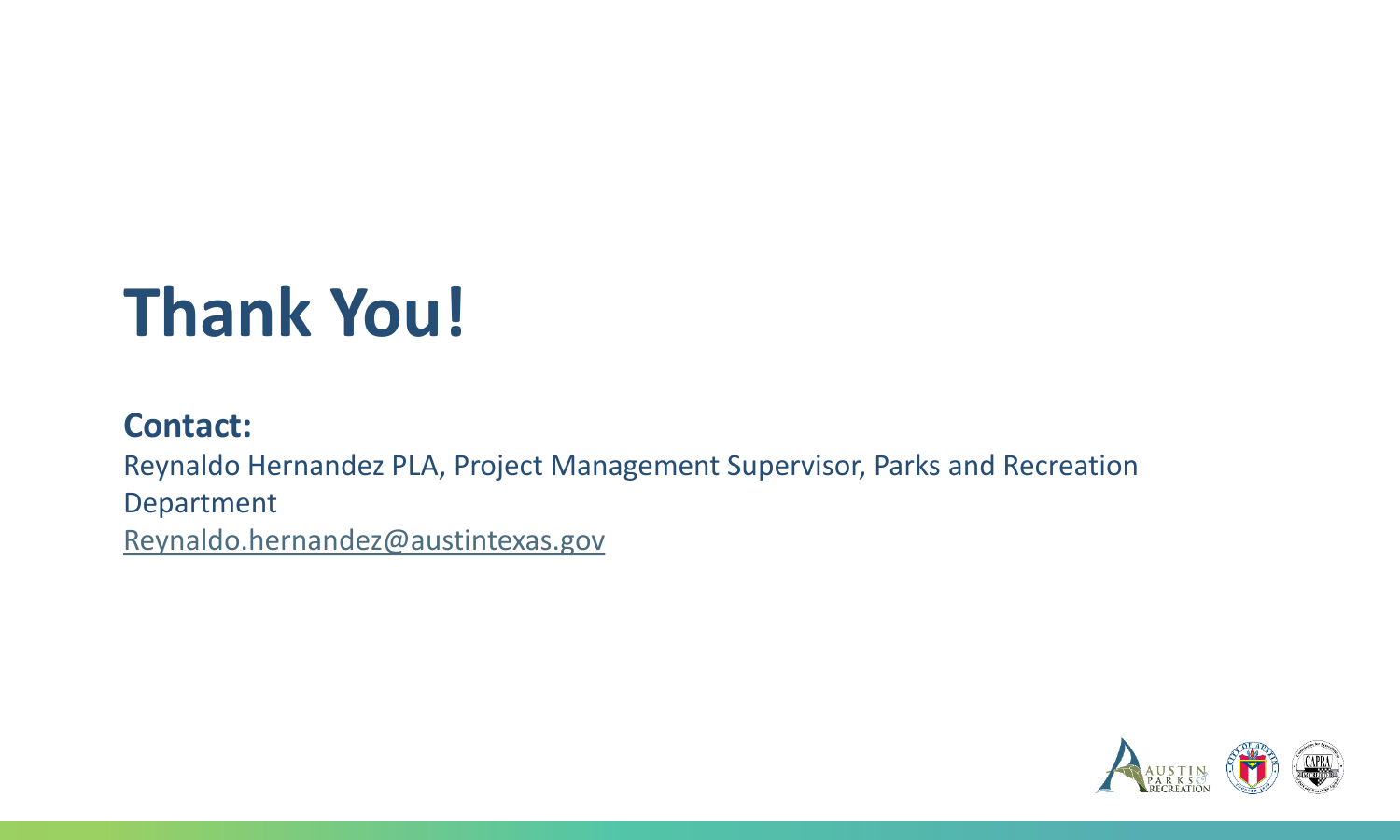# **Thank You!**

#### **Contact:**

Reynaldo Hernandez PLA, Project Management Supervisor, Parks and Recreation

Department

[Reynaldo.hernandez@austintexas.gov](mailto:Reynaldo.hernandez@austintexas.gov)